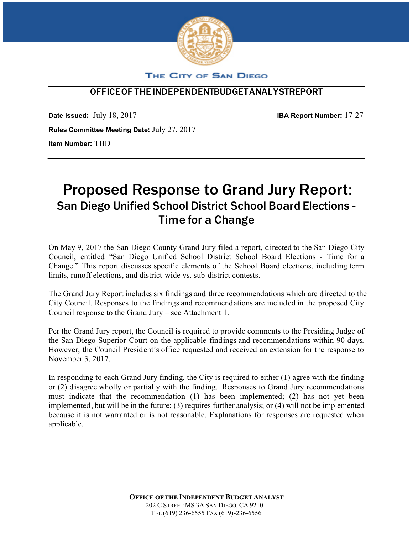

### THE CITY OF SAN DIEGO

## O**FFICEOF THEINDEPENDENTBUDGETANALYSTREPORT**

**Date Issued:** July 18, 2017 **IBA Report Number:** 17-27 **Rules Committee Meeting Date:** July 27, 2017 **Item Number:** TBD

# Proposed Response to Grand Jury Report: San Diego Unified School District School Board Elections - Time for a Change

On May 9, 2017 the San Diego County Grand Jury filed a report, directed to the San Diego City Council, entitled "San Diego Unified School District School Board Elections - Time for a Change." This report discusses specific elements of the School Board elections, including term limits, runoff elections, and district-wide vs. sub-district contests.

The Grand Jury Report includes six findings and three recommendations which are directed to the City Council. Responses to the findings and recommendations are included in the proposed City Council response to the Grand Jury – see Attachment 1.

Per the Grand Jury report, the Council is required to provide comments to the Presiding Judge of the San Diego Superior Court on the applicable findings and recommendations within 90 days. However, the Council President's office requested and received an extension for the response to November 3, 2017.

In responding to each Grand Jury finding, the City is required to either (1) agree with the finding or (2) disagree wholly or partially with the finding. Responses to Grand Jury recommendations must indicate that the recommendation (1) has been implemented; (2) has not yet been implemented, but will be in the future; (3) requires further analysis; or (4) will not be implemented because it is not warranted or is not reasonable. Explanations for responses are requested when applicable.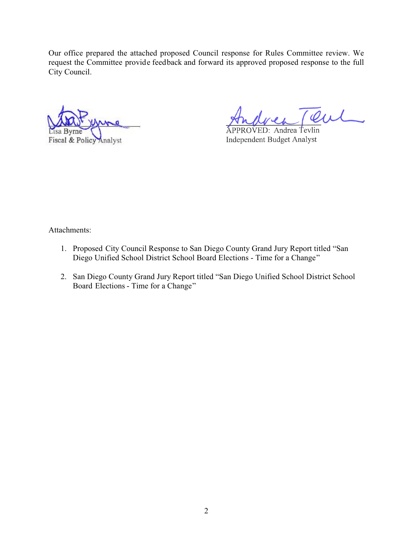Our office prepared the attached proposed Council response for Rules Committee review. We request the Committee provide feedback and forward its approved proposed response to the full City Council.

Fiscal & Policy Analyst

 $VED: Andrea Tevlin$ **Independent Budget Analyst** 

Attachments:

- 1. Proposed City Council Response to San Diego County Grand Jury Report titled "San Diego Unified School District School Board Elections - Time for a Change"
- 2. San Diego County Grand Jury Report titled "San Diego Unified School District School Board Elections - Time for a Change"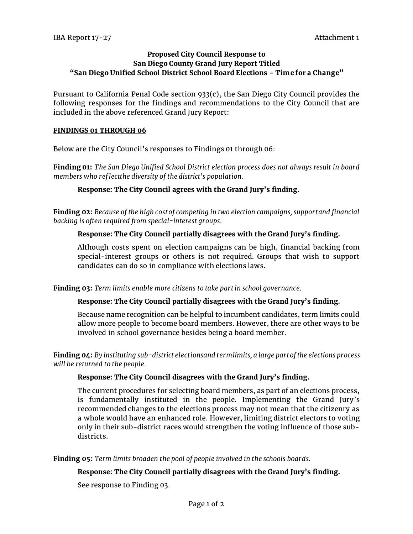#### **Proposed City Council Response to San Diego County Grand Jury Report Titled "San Diego Unified School District School Board Elections - Time for a Change"**

Pursuant to California Penal Code section 933(c), the San Diego City Council provides the following responses for the findings and recommendations to the City Council that are included in the above referenced Grand Jury Report:

#### **FINDINGS 01 THROUGH 06**

Below are the City Council's responses to Findings 01 through 06:

**Finding 01:** *The San Diego Unified School District election process does not always result in board members who reflectthe diversity ofthe district's population.*

#### **Response: The City Council agrees with the Grand Jury's finding.**

**Finding 02:** *Because ofthe high costofcompeting in two election campaigns, supportand financial backing is often required from special-interest groups.*

#### **Response: The City Council partially disagrees with the Grand Jury's finding.**

Although costs spent on election campaigns can be high, financial backing from special-interest groups or others is not required. Groups that wish to support candidates can do so in compliance with elections laws.

#### **Finding 03:** *Term limits enable more citizens to take partin school governance.*

#### **Response: The City Council partially disagrees with the Grand Jury's finding.**

Because name recognition can be helpful to incumbent candidates, term limits could allow more people to become board members. However, there are other ways to be involved in school governance besides being a board member.

**Finding 04:** *By instituting sub-district electionsand termlimits, a large partofthe elections process will be returned to the people.*

#### **Response: The City Council disagrees with the Grand Jury's finding.**

The current procedures for selecting board members, as part of an elections process, is fundamentally instituted in the people. Implementing the Grand Jury's recommended changes to the elections process may not mean that the citizenry as a whole would have an enhanced role. However, limiting district electors to voting only in their sub-district races would strengthen the voting influence of those subdistricts.

**Finding 05:** Term limits broaden the pool of people involved in the schools boards.

#### **Response: The City Council partially disagrees with the Grand Jury's finding.**

See response to Finding 03.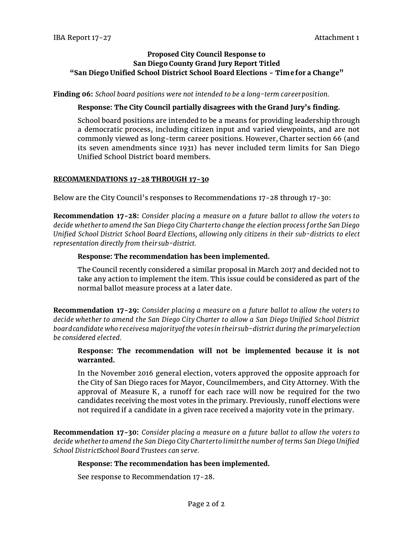#### **Proposed City Council Response to San Diego County Grand Jury Report Titled "San Diego Unified School District School Board Elections - Time for a Change"**

**Finding 06:** *School board positions were not intended to be a long-term careerposition.*

#### **Response: The City Council partially disagrees with the Grand Jury's finding.**

School board positions are intended to be a means for providing leadership through a democratic process, including citizen input and varied viewpoints, and are not commonly viewed as long-term career positions. However, Charter section 66 (and its seven amendments since 1931) has never included term limits for San Diego Unified School District board members.

#### **RECOMMENDATIONS 17-28 THROUGH 17-30**

Below are the City Council's responses to Recommendations 17-28 through 17-30:

**Recommendation 17-28:** *Consider placing a measure on a future ballot to allow the voters to decide whetherto amend the San Diego City Charterto change the election process forthe San Diego Unified School District School Board Elections, allowing only citizens in their sub-districts to elect representation directly from theirsub-district.*

#### **Response: The recommendation has been implemented.**

The Council recently considered a similar proposal in March 2017 and decided not to take any action to implement the item. This issue could be considered as part of the normal ballot measure process at a later date.

**Recommendation 17-29:** *Consider placing a measure on a future ballot to allow the voters to decide whether to amend the San Diego City Charter to allow a San Diego Unified School District boardcandidate who receivesa majorityofthe votesin theirsub-districtduring the primaryelection be considered elected.*

#### **Response: The recommendation will not be implemented because it is not warranted.**

In the November 2016 general election, voters approved the opposite approach for the City of San Diego races for Mayor, Councilmembers, and City Attorney. With the approval of Measure K, a runoff for each race will now be required for the two candidates receiving the most votes in the primary. Previously, runoff elections were not required if a candidate in a given race received a majority vote in the primary.

**Recommendation 17-30:** *Consider placing a measure on a future ballot to allow the voters to decide whetherto amend the San Diego City Charterto limitthe numberofterms San Diego Unified School DistrictSchool Board Trustees can serve.*

#### **Response: The recommendation has been implemented.**

See response to Recommendation 17-28.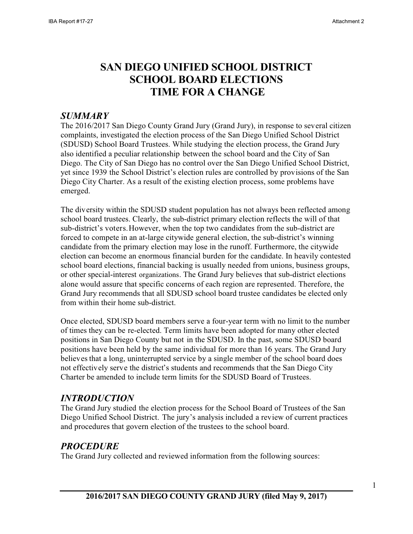# **SAN DIEGO UNIFIED SCHOOL DISTRICT SCHOOL BOARD ELECTIONS TIME FOR A CHANGE**

# *SUMMARY*

The 2016/2017 San Diego County Grand Jury (Grand Jury), in response to several citizen complaints, investigated the election process of the San Diego Unified School District (SDUSD) School Board Trustees. While studying the election process, the Grand Jury also identified a peculiar relationship between the school board and the City of San Diego. The City of San Diego has no control over the San Diego Unified School District, yet since 1939 the School District's election rules are controlled by provisions of the San Diego City Charter. As a result of the existing election process, some problems have emerged.

The diversity within the SDUSD student population has not always been reflected among school board trustees. Clearly, the sub-district primary election reflects the will of that sub-district's voters.However, when the top two candidates from the sub-district are forced to compete in an at-large citywide general election, the sub-district's winning candidate from the primary election may lose in the runoff. Furthermore, the citywide election can become an enormous financial burden for the candidate. In heavily contested school board elections, financial backing is usually needed from unions, business groups, or other special-interest organizations. The Grand Jury believes that sub-district elections alone would assure that specific concerns of each region are represented. Therefore, the Grand Jury recommends that all SDUSD school board trustee candidates be elected only from within their home sub-district.

Once elected, SDUSD board members serve a four-year term with no limit to the number of times they can be re-elected. Term limits have been adopted for many other elected positions in San Diego County but not in the SDUSD. In the past, some SDUSD board positions have been held by the same individual for more than 16 years. The Grand Jury believes that a long, uninterrupted service by a single member of the school board does not effectively serve the district's students and recommends that the San Diego City Charter be amended to include term limits for the SDUSD Board of Trustees.

# *INTRODUCTION*

The Grand Jury studied the election process for the School Board of Trustees of the San Diego Unified School District. The jury's analysis included a review of current practices and procedures that govern election of the trustees to the school board.

# *PROCEDURE*

The Grand Jury collected and reviewed information from the following sources: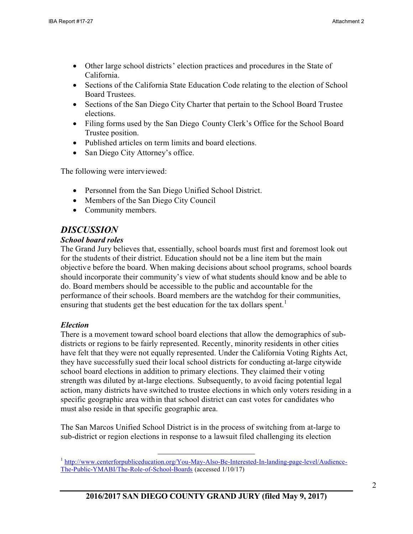- Other large school districts' election practices and procedures in the State of California.
- Sections of the California State Education Code relating to the election of School Board Trustees.
- Sections of the San Diego City Charter that pertain to the School Board Trustee elections.
- Filing forms used by the San Diego County Clerk's Office for the School Board Trustee position.
- Published articles on term limits and board elections.
- San Diego City Attorney's office.

The following were interviewed:

- Personnel from the San Diego Unified School District.
- Members of the San Diego City Council
- Community members.

# *DISCUSSION*

### *School board roles*

The Grand Jury believes that, essentially, school boards must first and foremost look out for the students of their district. Education should not be a line item but the main objective before the board. When making decisions about school programs, school boards should incorporate their community's view of what students should know and be able to do. Board members should be accessible to the public and accountable for the performance of their schools. Board members are the watchdog for their communities, ensuring that students get the best education for the tax dollars spent.<sup>1</sup>

# *Election*

There is a movement toward school board elections that allow the demographics of subdistricts or regions to be fairly represented. Recently, minority residents in other cities have felt that they were not equally represented. Under the California Voting Rights Act, they have successfully sued their local school districts for conducting at-large citywide school board elections in addition to primary elections. They claimed their voting strength was diluted by at-large elections. Subsequently, to avoid facing potential legal action, many districts have switched to trustee elections in which only voters residing in a specific geographic area within that school district can cast votes for candidates who must also reside in that specific geographic area.

The San Marcos Unified School District is in the process of switching from at-large to sub-district or region elections in response to a lawsuit filed challenging its election

<sup>&</sup>lt;sup>1</sup> [http://www.centerforpubliceducation.org/You-May-Also-Be-Interested-In-landing-page-level/Audience-](http://www.centerforpubliceducation.org/You-May-Also-Be-Interested-In-landing-page-level/Audience-The-Public-YMABI/The-Role-of-School-Boards)[The-Public-YMABI/The-Role-of-School-Boards](http://www.centerforpubliceducation.org/You-May-Also-Be-Interested-In-landing-page-level/Audience-The-Public-YMABI/The-Role-of-School-Boards) (accessed 1/10/17)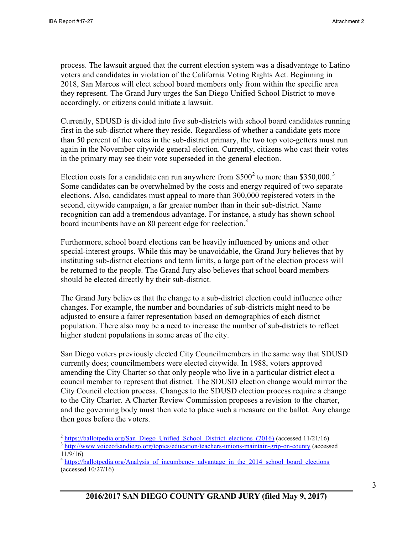process. The lawsuit argued that the current election system was a disadvantage to Latino voters and candidates in violation of the California Voting Rights Act. Beginning in 2018, San Marcos will elect school board members only from within the specific area they represent. The Grand Jury urges the San Diego Unified School District to move accordingly, or citizens could initiate a lawsuit.

Currently, SDUSD is divided into five sub-districts with school board candidates running first in the sub-district where they reside. Regardless of whether a candidate gets more than 50 percent of the votes in the sub-district primary, the two top vote-getters must run again in the November citywide general election. Currently, citizens who cast their votes in the primary may see their vote superseded in the general election.

Election costs for a candidate can run anywhere from  $$500<sup>2</sup>$  to more than \$350,000.<sup>3</sup> Some candidates can be overwhelmed by the costs and energy required of two separate elections. Also, candidates must appeal to more than 300,000 registered voters in the second, citywide campaign, a far greater number than in their sub-district. Name recognition can add a tremendous advantage. For instance, a study has shown school board incumbents have an 80 percent edge for reelection.<sup>4</sup>

Furthermore, school board elections can be heavily influenced by unions and other special-interest groups. While this may be unavoidable, the Grand Jury believes that by instituting sub-district elections and term limits, a large part of the election process will be returned to the people. The Grand Jury also believes that school board members should be elected directly by their sub-district.

The Grand Jury believes that the change to a sub-district election could influence other changes. For example, the number and boundaries of sub-districts might need to be adjusted to ensure a fairer representation based on demographics of each district population. There also may be a need to increase the number of sub-districts to reflect higher student populations in some areas of the city.

San Diego voters previously elected City Councilmembers in the same way that SDUSD currently does; councilmembers were elected citywide. In 1988, voters approved amending the City Charter so that only people who live in a particular district elect a council member to represent that district. The SDUSD election change would mirror the City Council election process. Changes to the SDUSD election process require a change to the City Charter. A Charter Review Commission proposes a revision to the charter, and the governing body must then vote to place such a measure on the ballot. Any change then goes before the voters.

<sup>&</sup>lt;sup>2</sup> [https://ballotpedia.org/San\\_Diego\\_Unified\\_School\\_District\\_elections\\_\(2016\)](https://ballotpedia.org/San_Diego_Unified_School_District_elections_(2016)) (accessed 11/21/16)

<sup>&</sup>lt;sup>3</sup> [http://www.voiceofsandiego.org/topics/education/teachers-unions-maintain-grip-on-county \(](http://www.voiceofsandiego.org/topics/education/teachers-unions-maintain-grip-on-county)accessed 11/9/16)

<sup>&</sup>lt;sup>4</sup> https://ballotpedia.org/Analysis of incumbency advantage in the 2014 school board elections (accessed 10/27/16)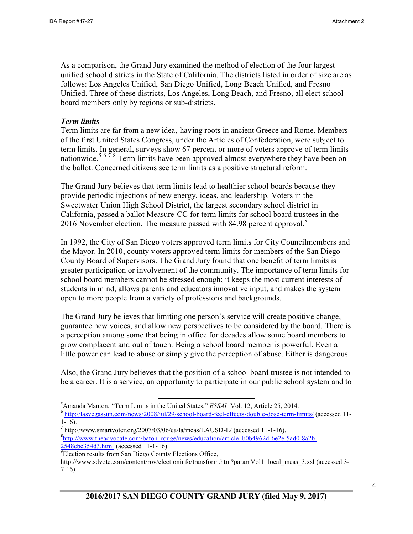As a comparison, the Grand Jury examined the method of election of the four largest unified school districts in the State of California. The districts listed in order of size are as follows: Los Angeles Unified, San Diego Unified, Long Beach Unified, and Fresno Unified. Three of these districts, Los Angeles, Long Beach, and Fresno, all elect school board members only by regions or sub-districts.

### *Term limits*

Term limits are far from a new idea, having roots in ancient Greece and Rome. Members of the first United States Congress, under the Articles of Confederation, were subject to term limits. In general, surveys show 67 percent or more of voters approve of term limits nationwide.<sup>5 6 7</sup><sup>8</sup> Term limits have been approved almost everywhere they have been on the ballot. Concerned citizens see term limits as a positive structural reform.

The Grand Jury believes that term limits lead to healthier school boards because they provide periodic injections of new energy, ideas, and leadership. Voters in the Sweetwater Union High School District, the largest secondary school district in California, passed a ballot Measure CC for term limits for school board trustees in the 2016 November election. The measure passed with 84.98 percent approval.

In 1992, the City of San Diego voters approved term limits for City Councilmembers and the Mayor. In 2010, county voters approved term limits for members of the San Diego County Board of Supervisors. The Grand Jury found that one benefit of term limits is greater participation or involvement of the community. The importance of term limits for school board members cannot be stressed enough; it keeps the most current interests of students in mind, allows parents and educators innovative input, and makes the system open to more people from a variety of professions and backgrounds.

The Grand Jury believes that limiting one person's service will create positive change, guarantee new voices, and allow new perspectives to be considered by the board. There is a perception among some that being in office for decades allow some board members to grow complacent and out of touch. Being a school board member is powerful. Even a little power can lead to abuse or simply give the perception of abuse. Either is dangerous.

Also, the Grand Jury believes that the position of a school board trustee is not intended to be a career. It is a service, an opportunity to participate in our public school system and to

<sup>8</sup>[http://www.theadvocate.com/baton\\_rouge/news/education/article\\_b0b4962d-6e2e-5ad0-8a2b-](http://www.theadvocate.com/baton_rouge/news/education/article_b0b4962d-6e2e-5ad0-8a2b-2548cbe354d3.html)[2548cbe354d3.html](http://www.theadvocate.com/baton_rouge/news/education/article_b0b4962d-6e2e-5ad0-8a2b-2548cbe354d3.html) (accessed 11-1-16).

<sup>5</sup>Amanda Manton, "Term Limits in the United States," *ESSAI*: Vol. 12, Article 25, 2014.

<sup>&</sup>lt;sup>6</sup> <http://lasvegassun.com/news/2008/jul/29/school-board-feel-effects-double-dose-term-limits/>(accessed 11-1-16).

<sup>&</sup>lt;sup>7</sup> http:/[/www.smartvoter.org/2007/03/06/ca/la/meas/LAUSD-L/](http://www.smartvoter.org/2007/03/06/ca/la/meas/LAUSD-L/) (accessed 11-1-16).

<sup>9</sup> Election results from San Diego County Elections Office,

[http://www.sdvote.com/content/rov/electioninfo/transform.htm?paramVol1=local\\_meas\\_3.xsl](http://www.sdvote.com/content/rov/electioninfo/transform.htm?paramVol1=local_meas_3.xsl) (accessed 3-7-16).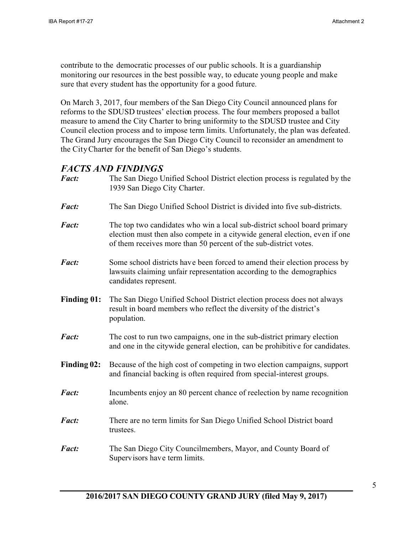contribute to the democratic processes of our public schools. It is a guardianship monitoring our resources in the best possible way, to educate young people and make sure that every student has the opportunity for a good future.

On March 3, 2017, four members of the San Diego City Council announced plans for reforms to the SDUSD trustees' election process. The four members proposed a ballot measure to amend the City Charter to bring uniformity to the SDUSD trustee and City Council election process and to impose term limits. Unfortunately, the plan was defeated. The Grand Jury encourages the San Diego City Council to reconsider an amendment to the City Charter for the benefit of San Diego's students.

### *FACTS AND FINDINGS*

| Fact:              | The San Diego Unified School District election process is regulated by the<br>1939 San Diego City Charter.                                                                                                                  |  |
|--------------------|-----------------------------------------------------------------------------------------------------------------------------------------------------------------------------------------------------------------------------|--|
| <b>Fact:</b>       | The San Diego Unified School District is divided into five sub-districts.                                                                                                                                                   |  |
| <b>Fact:</b>       | The top two candidates who win a local sub-district school board primary<br>election must then also compete in a citywide general election, even if one<br>of them receives more than 50 percent of the sub-district votes. |  |
| <b>Fact:</b>       | Some school districts have been forced to amend their election process by<br>lawsuits claiming unfair representation according to the demographics<br>candidates represent.                                                 |  |
| <b>Finding 01:</b> | The San Diego Unified School District election process does not always<br>result in board members who reflect the diversity of the district's<br>population.                                                                |  |
| <b>Fact:</b>       | The cost to run two campaigns, one in the sub-district primary election<br>and one in the citywide general election, can be prohibitive for candidates.                                                                     |  |
| Finding 02:        | Because of the high cost of competing in two election campaigns, support<br>and financial backing is often required from special-interest groups.                                                                           |  |
| <b>Fact:</b>       | Incumbents enjoy an 80 percent chance of reelection by name recognition<br>alone.                                                                                                                                           |  |
| <b>Fact:</b>       | There are no term limits for San Diego Unified School District board<br>trustees.                                                                                                                                           |  |
| Fact:              | The San Diego City Councilmembers, Mayor, and County Board of<br>Supervisors have term limits.                                                                                                                              |  |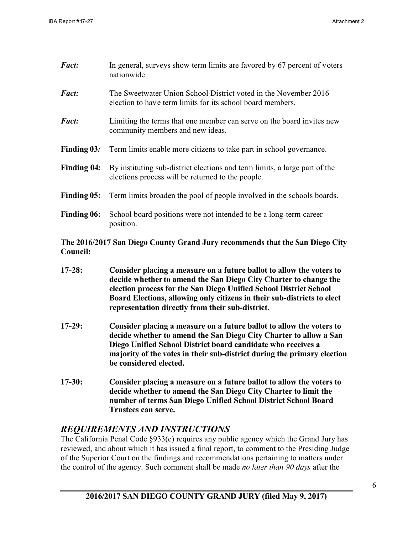| Fact:              | In general, surveys show term limits are favored by 67 percent of voters<br>nationwide.                                         |  |
|--------------------|---------------------------------------------------------------------------------------------------------------------------------|--|
| <b>Fact:</b>       | The Sweetwater Union School District voted in the November 2016<br>election to have term limits for its school board members.   |  |
| <b>Fact:</b>       | Limiting the terms that one member can serve on the board invites new<br>community members and new ideas.                       |  |
| Finding 03:        | Term limits enable more citizens to take part in school governance.                                                             |  |
| <b>Finding 04:</b> | By instituting sub-district elections and term limits, a large part of the<br>elections process will be returned to the people. |  |
| Finding 05:        | Term limits broaden the pool of people involved in the schools boards.                                                          |  |
| <b>Finding 06:</b> | School board positions were not intended to be a long-term career<br>position.                                                  |  |

### **The 2016/2017 San Diego County Grand Jury recommends that the San Diego City Council:**

- **17-28: Consider placing a measure on a future ballot to allow the voters to decide whether to amend the San Diego City Charter to change the election process for the San Diego Unified School District School Board Elections, allowing only citizens in their sub-districts to elect representation directly from their sub-district.**
- **17-29: Consider placing a measure on a future ballot to allow the voters to decide whether to amend the San Diego City Charter to allow a San Diego Unified School District board candidate who receives a majority of the votes in their sub-district during the primary election be considered elected.**
- **17-30: Consider placing a measure on a future ballot to allow the voters to decide whether to amend the San Diego City Charter to limit the number of terms San Diego Unified School District School Board Trustees can serve.**

# *REQUIREMENTS AND INSTRUCTIONS*

The California Penal Code §933(c) requires any public agency which the Grand Jury has reviewed, and about which it has issued a final report, to comment to the Presiding Judge of the Superior Court on the findings and recommendations pertaining to matters under the control of the agency. Such comment shall be made *no later than 90 days* after the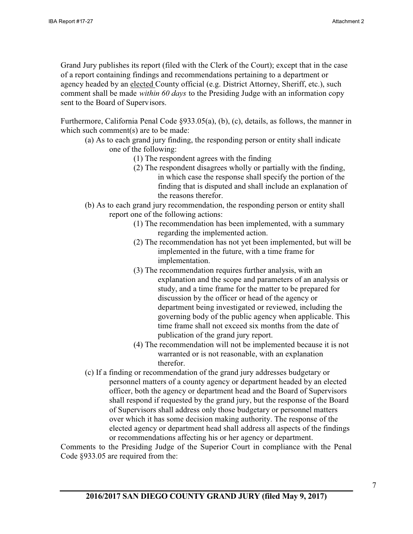Grand Jury publishes its report (filed with the Clerk of the Court); except that in the case of a report containing findings and recommendations pertaining to a department or agency headed by an elected County official (e.g. District Attorney, Sheriff, etc.), such comment shall be made *within 60 days* to the Presiding Judge with an information copy sent to the Board of Supervisors.

Furthermore, California Penal Code §933.05(a), (b), (c), details, as follows, the manner in which such comment(s) are to be made:

- (a) As to each grand jury finding, the responding person or entity shall indicate one of the following:
	- (1) The respondent agrees with the finding
	- (2) The respondent disagrees wholly or partially with the finding, in which case the response shall specify the portion of the finding that is disputed and shall include an explanation of the reasons therefor.
- (b) As to each grand jury recommendation, the responding person or entity shall report one of the following actions:
	- (1) The recommendation has been implemented, with a summary regarding the implemented action.
	- (2) The recommendation has not yet been implemented, but will be implemented in the future, with a time frame for implementation.
	- (3) The recommendation requires further analysis, with an explanation and the scope and parameters of an analysis or study, and a time frame for the matter to be prepared for discussion by the officer or head of the agency or department being investigated or reviewed, including the governing body of the public agency when applicable. This time frame shall not exceed six months from the date of publication of the grand jury report.
	- (4) The recommendation will not be implemented because it is not warranted or is not reasonable, with an explanation therefor.
- (c) If a finding or recommendation of the grand jury addresses budgetary or personnel matters of a county agency or department headed by an elected officer, both the agency or department head and the Board of Supervisors shall respond if requested by the grand jury, but the response of the Board of Supervisors shall address only those budgetary or personnel matters over which it has some decision making authority. The response of the elected agency or department head shall address all aspects of the findings or recommendations affecting his or her agency or department.

Comments to the Presiding Judge of the Superior Court in compliance with the Penal Code §933.05 are required from the: